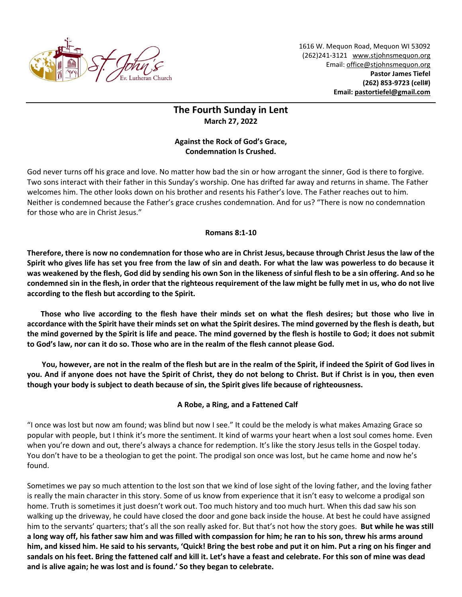

1616 W. Mequon Road, Mequon WI 53092 (262)241-3121 [www.stjohnsmequon.org](http://www.stjohnsmequon.org/) Email[: office@stjohnsmequon.org](mailto:office@stjohnsmequon.org) **Pastor James Tiefel (262) 853-9723 (cell#) Email: [pastortiefel@gmail.com](mailto:pastortiefel@gmail.com)**

# **The Fourth Sunday in Lent March 27, 2022**

## **Against the Rock of God's Grace, Condemnation Is Crushed.**

God never turns off his grace and love. No matter how bad the sin or how arrogant the sinner, God is there to forgive. Two sons interact with their father in this Sunday's worship. One has drifted far away and returns in shame. The Father welcomes him. The other looks down on his brother and resents his Father's love. The Father reaches out to him. Neither is condemned because the Father's grace crushes condemnation. And for us? "There is now no condemnation for those who are in Christ Jesus."

#### **Romans 8:1-10**

**Therefore, there is now no condemnation for those who are in Christ Jesus, because through Christ Jesus the law of the Spirit who gives life has set you free from the law of sin and death. For what the law was powerless to do because it was weakened by the flesh, God did by sending his own Son in the likeness of sinful flesh to be a sin offering. And so he condemned sin in the flesh, in order that the righteous requirement of the law might be fully met in us, who do not live according to the flesh but according to the Spirit.** 

**Those who live according to the flesh have their minds set on what the flesh desires; but those who live in accordance with the Spirit have their minds set on what the Spirit desires. The mind governed by the flesh is death, but the mind governed by the Spirit is life and peace. The mind governed by the flesh is hostile to God; it does not submit to God's law, nor can it do so. Those who are in the realm of the flesh cannot please God.** 

**You, however, are not in the realm of the flesh but are in the realm of the Spirit, if indeed the Spirit of God lives in you. And if anyone does not have the Spirit of Christ, they do not belong to Christ. But if Christ is in you, then even though your body is subject to death because of sin, the Spirit gives life because of righteousness.**

# **A Robe, a Ring, and a Fattened Calf**

"I once was lost but now am found; was blind but now I see." It could be the melody is what makes Amazing Grace so popular with people, but I think it's more the sentiment. It kind of warms your heart when a lost soul comes home. Even when you're down and out, there's always a chance for redemption. It's like the story Jesus tells in the Gospel today. You don't have to be a theologian to get the point. The prodigal son once was lost, but he came home and now he's found.

Sometimes we pay so much attention to the lost son that we kind of lose sight of the loving father, and the loving father is really the main character in this story. Some of us know from experience that it isn't easy to welcome a prodigal son home. Truth is sometimes it just doesn't work out. Too much history and too much hurt. When this dad saw his son walking up the driveway, he could have closed the door and gone back inside the house. At best he could have assigned him to the servants' quarters; that's all the son really asked for. But that's not how the story goes. **But while he was still a long way off, his father saw him and was filled with compassion for him; he ran to his son, threw his arms around him, and kissed him. He said to his servants, 'Quick! Bring the best robe and put it on him. Put a ring on his finger and sandals on his feet. Bring the fattened calf and kill it. Let's have a feast and celebrate. For this son of mine was dead and is alive again; he was lost and is found.' So they began to celebrate.**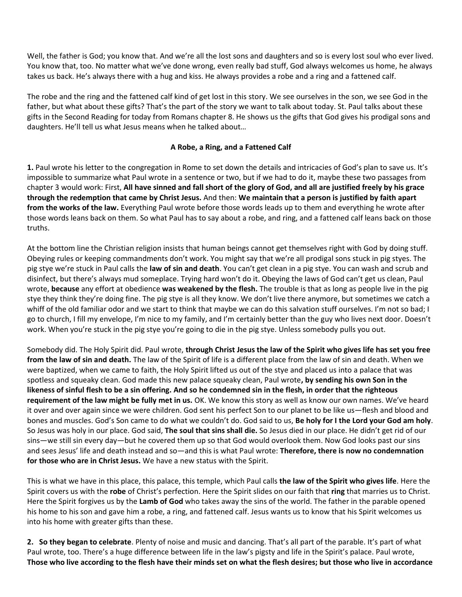Well, the father is God; you know that. And we're all the lost sons and daughters and so is every lost soul who ever lived. You know that, too. No matter what we've done wrong, even really bad stuff, God always welcomes us home, he always takes us back. He's always there with a hug and kiss. He always provides a robe and a ring and a fattened calf.

The robe and the ring and the fattened calf kind of get lost in this story. We see ourselves in the son, we see God in the father, but what about these gifts? That's the part of the story we want to talk about today. St. Paul talks about these gifts in the Second Reading for today from Romans chapter 8. He shows us the gifts that God gives his prodigal sons and daughters. He'll tell us what Jesus means when he talked about…

## **A Robe, a Ring, and a Fattened Calf**

**1.** Paul wrote his letter to the congregation in Rome to set down the details and intricacies of God's plan to save us. It's impossible to summarize what Paul wrote in a sentence or two, but if we had to do it, maybe these two passages from chapter 3 would work: First, **All have sinned and fall short of the glory of God, and all are justified freely by his grace through the redemption that came by Christ Jesus.** And then: **We maintain that a person is justified by faith apart from the works of the law.** Everything Paul wrote before those words leads up to them and everything he wrote after those words leans back on them. So what Paul has to say about a robe, and ring, and a fattened calf leans back on those truths.

At the bottom line the Christian religion insists that human beings cannot get themselves right with God by doing stuff. Obeying rules or keeping commandments don't work. You might say that we're all prodigal sons stuck in pig styes. The pig stye we're stuck in Paul calls the **law of sin and death**. You can't get clean in a pig stye. You can wash and scrub and disinfect, but there's always mud someplace. Trying hard won't do it. Obeying the laws of God can't get us clean, Paul wrote, **because** any effort at obedience **was weakened by the flesh.** The trouble is that as long as people live in the pig stye they think they're doing fine. The pig stye is all they know. We don't live there anymore, but sometimes we catch a whiff of the old familiar odor and we start to think that maybe we can do this salvation stuff ourselves. I'm not so bad; I go to church, I fill my envelope, I'm nice to my family, and I'm certainly better than the guy who lives next door. Doesn't work. When you're stuck in the pig stye you're going to die in the pig stye. Unless somebody pulls you out.

Somebody did. The Holy Spirit did. Paul wrote, **through Christ Jesus the law of the Spirit who gives life has set you free from the law of sin and death.** The law of the Spirit of life is a different place from the law of sin and death. When we were baptized, when we came to faith, the Holy Spirit lifted us out of the stye and placed us into a palace that was spotless and squeaky clean. God made this new palace squeaky clean, Paul wrote**, by sending his own Son in the likeness of sinful flesh to be a sin offering. And so he condemned sin in the flesh, in order that the righteous requirement of the law might be fully met in us.** OK. We know this story as well as know our own names. We've heard it over and over again since we were children. God sent his perfect Son to our planet to be like us—flesh and blood and bones and muscles. God's Son came to do what we couldn't do. God said to us, **Be holy for I the Lord your God am holy**. So Jesus was holy in our place. God said, **The soul that sins shall die.** So Jesus died in our place. He didn't get rid of our sins—we still sin every day—but he covered them up so that God would overlook them. Now God looks past our sins and sees Jesus' life and death instead and so—and this is what Paul wrote: **Therefore, there is now no condemnation for those who are in Christ Jesus.** We have a new status with the Spirit.

This is what we have in this place, this palace, this temple, which Paul calls **the law of the Spirit who gives life**. Here the Spirit covers us with the **robe** of Christ's perfection. Here the Spirit slides on our faith that **ring** that marries us to Christ. Here the Spirit forgives us by the **Lamb of God** who takes away the sins of the world. The father in the parable opened his home to his son and gave him a robe, a ring, and fattened calf. Jesus wants us to know that his Spirit welcomes us into his home with greater gifts than these.

**2. So they began to celebrate**. Plenty of noise and music and dancing. That's all part of the parable. It's part of what Paul wrote, too. There's a huge difference between life in the law's pigsty and life in the Spirit's palace. Paul wrote, **Those who live according to the flesh have their minds set on what the flesh desires; but those who live in accordance**